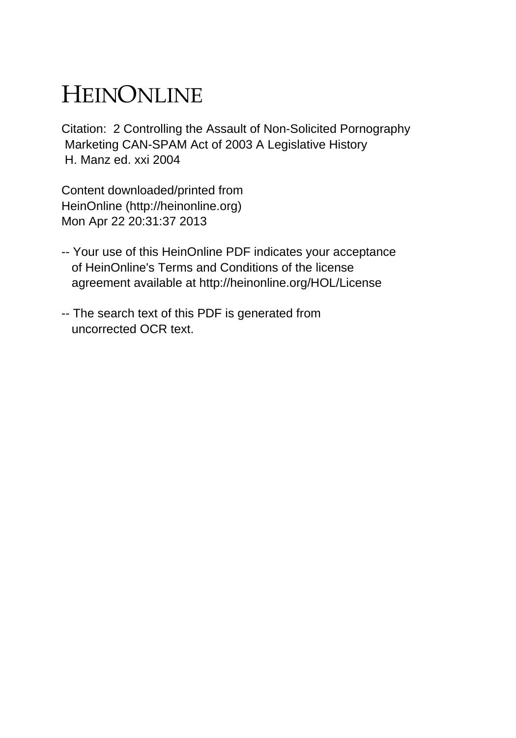# HEINONLINE

Citation: 2 Controlling the Assault of Non-Solicited Pornography Marketing CAN-SPAM Act of 2003 A Legislative History H. Manz ed. xxi 2004

Content downloaded/printed from HeinOnline (http://heinonline.org) Mon Apr 22 20:31:37 2013

- -- Your use of this HeinOnline PDF indicates your acceptance of HeinOnline's Terms and Conditions of the license agreement available at http://heinonline.org/HOL/License
- -- The search text of this PDF is generated from uncorrected OCR text.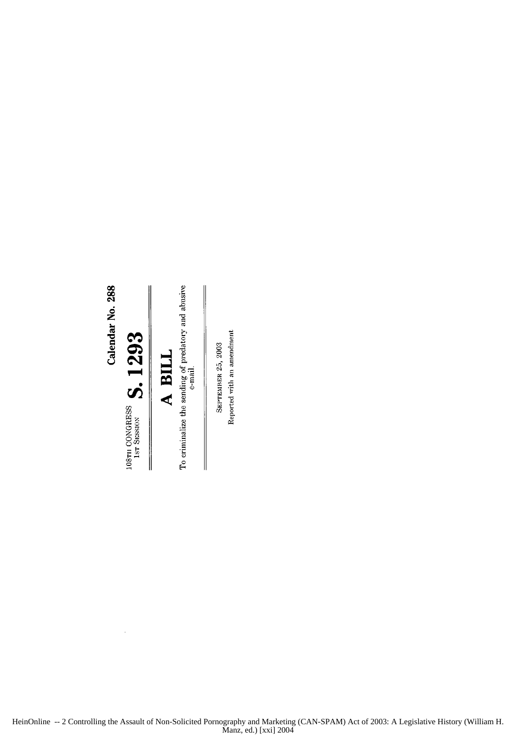Calendar No. 288

ct~  $\mathbf{u} \parallel \mathbf{u}$  and **0**  $\mathbb{Z}$  |  $\mathbb{Z}$  |  $\mathbb{Z}$ E F

V N  $\overline{\epsilon}$ 

**SEPTEMBER 25, 2003** 

Reported with an amendment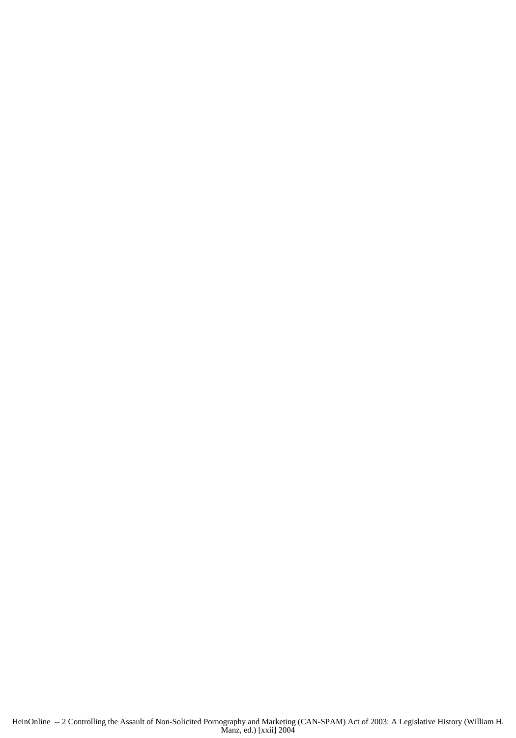HeinOnline -- 2 Controlling the Assault of Non-Solicited Pornography and Marketing (CAN-SPAM) Act of 2003: A Legislative History (William H. Manz, ed.) [xxii] 2004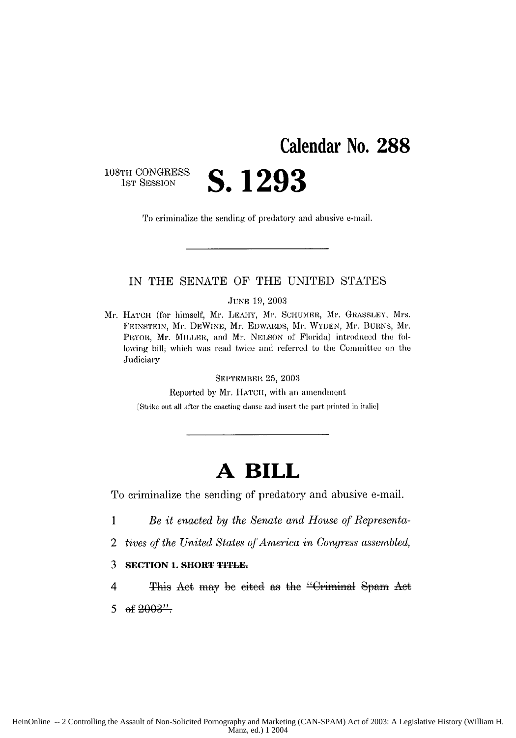## Calendar No. 288

**108TH CONGRESS 1ST SESSION** 

To criminalize the sending of predatory and abusive e-mail.

S. 1293

### IN THE SENATE OF THE UNITED STATES

JUNE 19, 2003

Mr. HATCH (for himself, Mr. LEAHY, Mr. SCHUMER, Mr. GRASSLEY, Mrs. FEINSTEIN, Mr. DEWINE, Mr. EDWARDS, Mr. WYDEN, Mr. BURNS, Mr. PRYOR, Mr. MILLER, and Mr. NELSON of Florida) introduced the following bill; which was read twice and referred to the Committee on the Judiciary

**SEPTEMBER 25, 2003** 

Reported by Mr. HATCH, with an amendment [Strike out all after the enacting clause and insert the part printed in italic]

### A BILL

To criminalize the sending of predatory and abusive e-mail.

- $\mathbf{1}$ Be it enacted by the Senate and House of Representa-
- $\overline{2}$ tives of the United States of America in Congress assembled,
- 3 **SECTION 1. SHORT TITLE.**
- This Act may be eited as the "Criminal Spam Act  $\overline{4}$ 5 of  $2003"$ .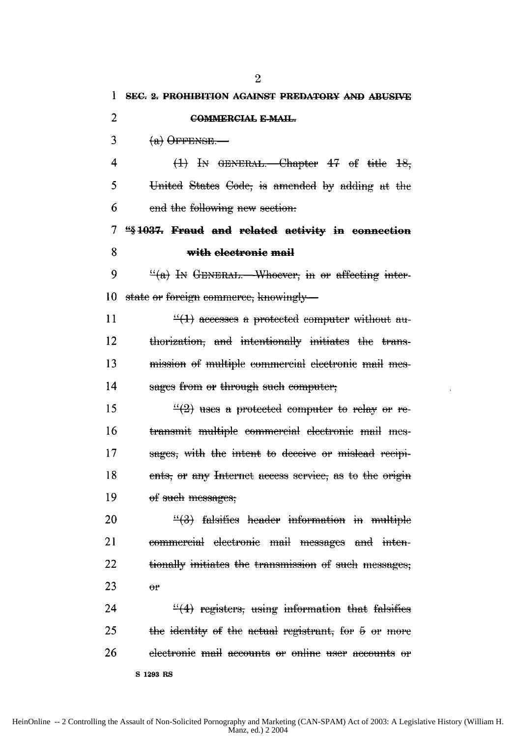$\mathbf{1}$ SEC. 2. PROHIBITION AGAINST PREDATORY AND ARUSIVE  $\overline{2}$ **COMMERCIAL E-MAIL.** 3  $(a)$  OFFENSE.  $\overline{\mathbf{4}}$  $(1)$  In GENERAL. Chapter 47 of title 18, United States Code, is amended by adding at the  $\varsigma$ 6 end the following new section. 7 "\\$1037. Fraud and related activity in connection 8 with electronic mail 9  $\frac{u}{a}$  In GENERAL. Whoever, in or affecting interstate or foreign commerce, knowingly-10 11  $\frac{11}{2}$  accesses a protected computer without au-12 thorization, and intentionally initiates the trans-13 mission of multiple commercial electronic mail mes- $14$ sages from or through such computer; 15  $\frac{11}{2}$  uses a protected computer to relay or re-16 transmit multiple commercial electronic mail mes- $17$ sages, with the intent to deceive or mislead recipi-18 ents, or any Internet access service, as to the origin 19 of such messages; 20  $\frac{4}{3}$  falsifies header information in multiple  $21$ commercial electronic mail messages and inten-22 tionally initiates the transmission of such messages. 23  $\Theta$ r 24  $\frac{4}{4}$  registers, using information that falsifies 25 the identity of the actual registrant, for 5 or more 26 electronic mail accounts or online user accounts or S 1293 RS

 $\overline{2}$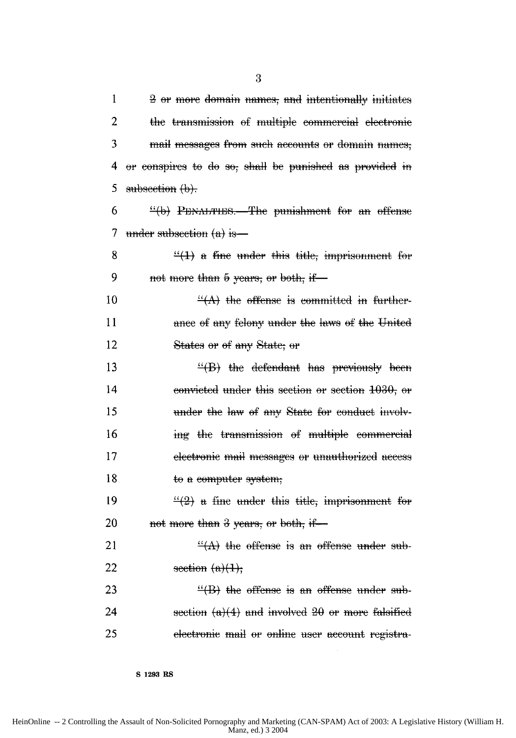| $\mathbf{1}$ | 2 or more domain names, and intentionally initiates                                                                                                                                                                                                                                           |
|--------------|-----------------------------------------------------------------------------------------------------------------------------------------------------------------------------------------------------------------------------------------------------------------------------------------------|
| 2            | the transmission of multiple commercial electronic                                                                                                                                                                                                                                            |
| 3            | mail messages from such accounts or domain names;                                                                                                                                                                                                                                             |
| 4            | or conspires to do so, shall be punished as provided in                                                                                                                                                                                                                                       |
| 5            | subsection (b).                                                                                                                                                                                                                                                                               |
| 6            | "(b) PENALTIES.—The punishment for an offense                                                                                                                                                                                                                                                 |
| 7            | $\frac{1}{2}$ and $\frac{1}{2}$ and $\frac{1}{2}$ and $\frac{1}{2}$ and $\frac{1}{2}$ and $\frac{1}{2}$ and $\frac{1}{2}$ and $\frac{1}{2}$ and $\frac{1}{2}$ and $\frac{1}{2}$ and $\frac{1}{2}$ and $\frac{1}{2}$ and $\frac{1}{2}$ and $\frac{1}{2}$ and $\frac{1}{2}$ and $\frac{1}{2}$ a |
| 8            | $\frac{4}{1}$ a fine under this title, imprisonment for                                                                                                                                                                                                                                       |
| 9            | not more than 5 years, or both, if                                                                                                                                                                                                                                                            |
| 10           | $\frac{H(A)}{A}$ the offense is committed in further-                                                                                                                                                                                                                                         |
| 11           | ance of any felony under the laws of the United                                                                                                                                                                                                                                               |
| 12           | States or of any State; or                                                                                                                                                                                                                                                                    |
| 13           | "(B) the defendant has previously been                                                                                                                                                                                                                                                        |
| 14           | convicted under this section or section $1030$ , or                                                                                                                                                                                                                                           |
| 15           | under the law of any State for conduct involv-                                                                                                                                                                                                                                                |
| 16           | ing the transmission of multiple commercial                                                                                                                                                                                                                                                   |
| 17           | electronic mail messages or unauthorized access                                                                                                                                                                                                                                               |
| 18           | to a computer system;                                                                                                                                                                                                                                                                         |
| 19           | $\frac{u(2)}{2}$ a fine under this title, imprisonment for                                                                                                                                                                                                                                    |
| 20           | not more than 3 years, or both, if-                                                                                                                                                                                                                                                           |
| 21           | $\frac{H(A)}{A}$ the offense is an offense under sub-                                                                                                                                                                                                                                         |
| 22           | section $(a)(1)$ ;                                                                                                                                                                                                                                                                            |
| 23           | $\frac{1}{1}$ the offense is an offense under sub-                                                                                                                                                                                                                                            |
| 24           | section $(a)(4)$ and involved 20 or more falsified                                                                                                                                                                                                                                            |
| 25           | electronic mail or online user account registra-                                                                                                                                                                                                                                              |
|              |                                                                                                                                                                                                                                                                                               |

 $\overline{3}$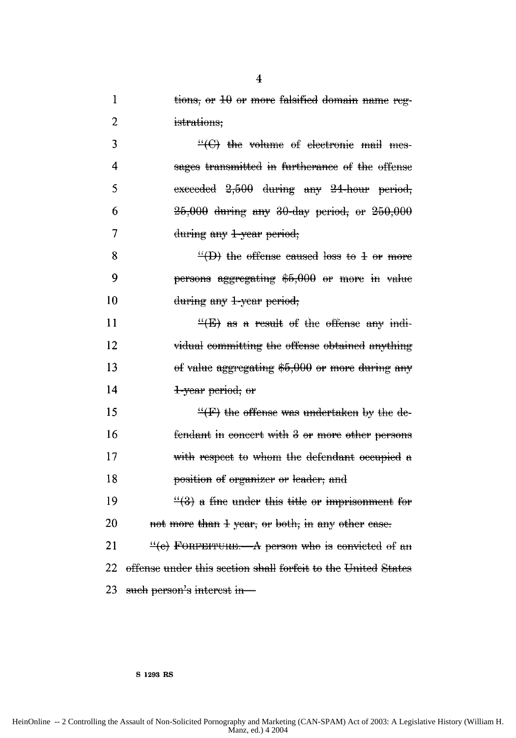| $\mathbf{1}$ | tions, or 10 or more falsified domain name reg-               |
|--------------|---------------------------------------------------------------|
| 2            | istrations;                                                   |
| 3            | $\frac{H(G)}{H(G)}$ the volume of electronic mail mes-        |
| 4            | sages transmitted in furtherance of the offense               |
| 5            | exceeded 2,500 during any 24-hour period,                     |
| 6            | 25,000 during any 30-day period, or 250,000                   |
| 7            | during any 1-year period;                                     |
| 8            | $\frac{H}{D}$ the offense caused loss to 1 or more            |
| 9            | persons aggregating \$5,000 or more in value                  |
| 10           | during any 1-year period;                                     |
| 11           | $\frac{H}{B}$ as a result of the offense any indi-            |
| 12           | vidual committing the offense obtained anything               |
| 13           | of value aggregating \$5,000 or more during any               |
| 14           | <del>1 year</del> period; or                                  |
| 15           | $\mathcal{L}(F)$ the offense was undertaken by the de-        |
| 16           | fendant in concert with 3 or more other persons               |
| 17           | with respect to whom the defendant occupied a                 |
| 18           | position of organizer or leader; and                          |
| 19           | $\frac{14}{3}$ a fine under this title or imprisonment for    |
| 20           | not more than 1 year, or both, in any other case.             |
| 21           | $\frac{H}{C}$ FORFEITURE. A person who is convicted of an     |
| 22           | offense under this section shall forfeit to the United States |
| 23           | such person's interest in-                                    |

 $\overline{4}$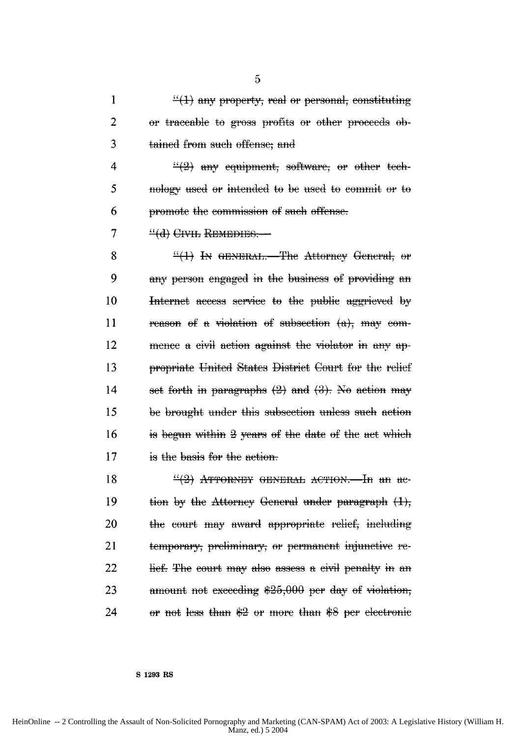$\mathbf{1}$  $\frac{11}{2}$  any property, real or personal, constituting  $\overline{2}$ or traceable to gross profits or other proceeds ob-3 tained from such offense; and

 $\overline{4}$  $\frac{17}{2}$  any equipment, software, or other tech-5 nology used or intended to be used to commit or to 6 promote the commission of such offense.

"(d) CIVIL REMEDIES.  $\overline{7}$ 

8  $\frac{17}{11}$  In GENERAL. The Attorney General, or 9 any person engaged in the business of providing an 10 Internet access service to the public aggrieved by 11 reason of a violation of subsection (a), may com- $12$ mence a civil action against the violator in any ap- $13$ propriate United States District Court for the relief  $14$ set forth in paragraphs  $(2)$  and  $(3)$ . No action may 15 be brought under this subsection unless such action 16 is begun within 2 years of the date of the act which 17 is the basis for the action.

 $\frac{4(2)}{2}$  ATTORNEY GENERAL ACTION. In an ac-18 19 tion by the Attorney General under paragraph  $(1)$ , 20 the court may award appropriate relief, including 21 temporary, preliminary, or permanent injunctive re-22 hef. The court may also assess a civil penalty in an 23 amount not exceeding  $$25,000$  per day of violation, 24 or not less than  $\frac{62}{2}$  or more than  $\frac{68}{2}$  per electronic

#### S 1293 RS

5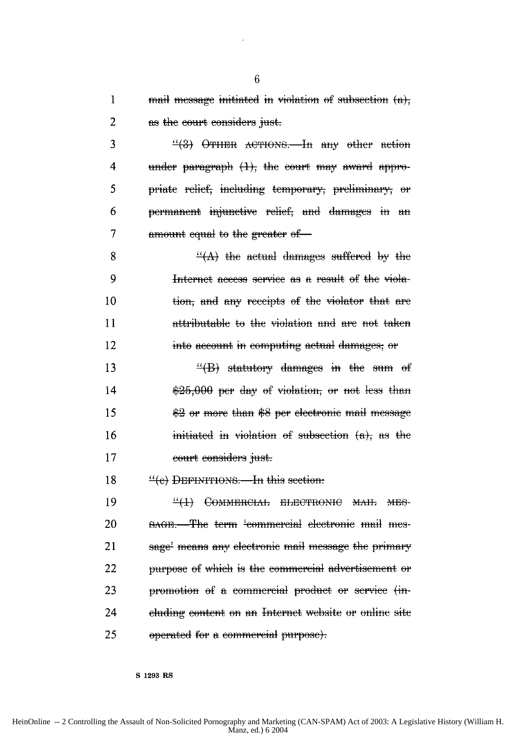$\mathbf{1}$ mail message initiated in violation of subsection  $(a)$ ,  $\overline{2}$ as the court considers just.

 $\frac{443}{8}$  OTHER ACTIONS. In any other action 3  $\overline{\mathbf{4}}$ under paragraph  $(1)$ , the court may award appro-5 priate relief, including temporary, preliminary, or 6 permanent injunctive relief, and damages in an 7 amount equal to the greater of

8  $\frac{H(A)}{A}$  the actual damages suffered by the 9 Internet access service as a result of the viola-10 tion, and any receipts of the violator that are 11 attributable to the violation and are not taken  $12$ into account in computing actual damages, or

13  $\frac{1}{2}$  statutory damages in the sum of \$25,000 per day of violation, or not less than 14 15 \$2 or more than \$8 per electronic mail message 16 initiated in violation of subsection  $(a)$ , as the  $17$ court considers just.

18 "(e) DEFINITIONS. - In this section:

19 "(1) COMMERCIAL ELECTRONIC MAIL MES-20 sage. The term 'commercial electronic mail mes- $21$ sage' means any electronic mail message the primary  $22$ purpose of which is the commercial advertisement or 23 promotion of a commercial product or service (in-24 eluding content on an Internet website or online site 25 operated for a commercial purpose).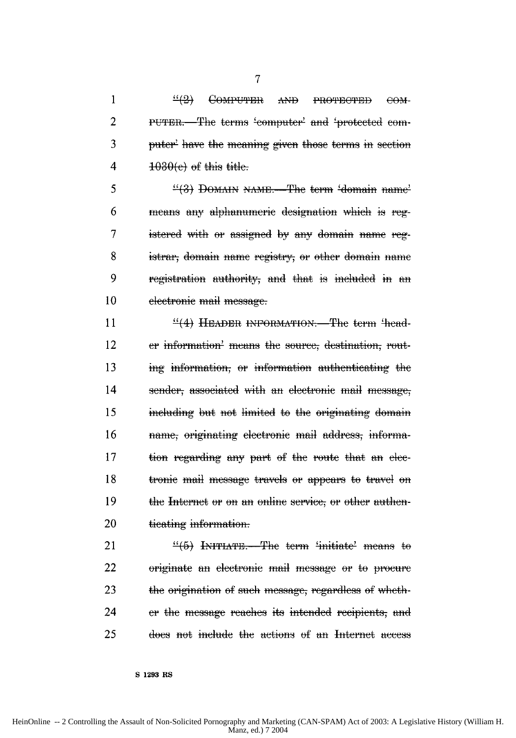$\mathbf{1}$  $\frac{11}{2}$ COMPUTER AND **PROTECTED**  $\overline{\text{COM}}$ - $\overline{2}$ PUTER. The terms 'computer' and 'protected com-3 puter' have the meaning given those terms in section  $\overline{4}$ 1030(e) of this title.

5  $\frac{443}{3}$  DOMAIN NAME. The term  $4$  domain name<sup>2</sup> 6 means any alphanumeric designation which is reg-7 istered with or assigned by any domain name reg- $\mathbf{R}$ istrar, domain name registry, or other domain name 9 registration authority, and that is included in an 10 electronic mail message.

11  $\frac{14}{10}$  HEADER INFORMATION. The term 'head- $12$ er information' means the source, destination, routing information, or information authenticating the 13 14 sender, associated with an electronic mail message, 15 including but not limited to the originating domain 16 name, originating electronic mail address, informa- $17$ tion regarding any part of the route that an elec-18 tronic mail message travels or appears to travel on 19 the Internet or on an online service, or other authen-20 ticating information.

21  $\frac{4}{5}$  INITIATE. The term  $\frac{4}{1}$  initiate' means to 22 originate an electronic mail message or to procure 23 the origination of such message, regardless of wheth-24 er the message reaches its intended recipients, and 25 does not include the actions of an Internet access

**S 1293 RS** 

 $\overline{7}$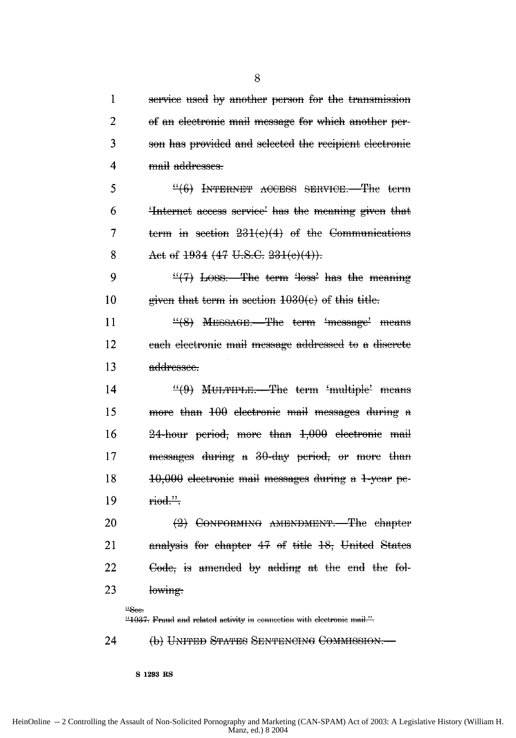$\mathbf{1}$ service used by another person for the transmission  $\overline{2}$ of an electronic mail message for which another per-3 son has provided and selected the recipient electronic mail addresses. 4

5  $\frac{446}{1}$  INTERNET ACCESS SERVICE. The term 6 <del>Internet access service' has the meaning given that</del>  $\overline{7}$ term in section  $231(e)(4)$  of the Communications 8 Act of  $1934$  (47 U.S.C.  $231(e)(4)$ ).

9  $\frac{17}{10}$  LOSS. The term 'loss' has the meaning 10 given that term in section  $1030(e)$  of this title.

11  $\frac{17}{8}$  MESSAGE. The term 'message' means  $12$ each electronic mail message addressed to a discrete 13 addressee.

 $\frac{11}{19}$  MULTIPLE. The term 'multiple' means  $14$ 15 more than 100 electronic mail messages during a 16 24-hour period, more than 1,000 electronic mail 17 messages during a 30-day period, or more than 18 10,000 electronic mail messages during a 1-year pe-19  $\frac{1}{100}$ 

20  $\Theta$  Conforming AMENDMENT. The chapter 21 analysis for chapter 47 of title 18, United States 22 Code, is amended by adding at the end the fol-23 lowing.

"See: "1037. Frand and related activity in connection with electronic mail.".

24 (b) UNITED STATES SENTENCING COMMISSION.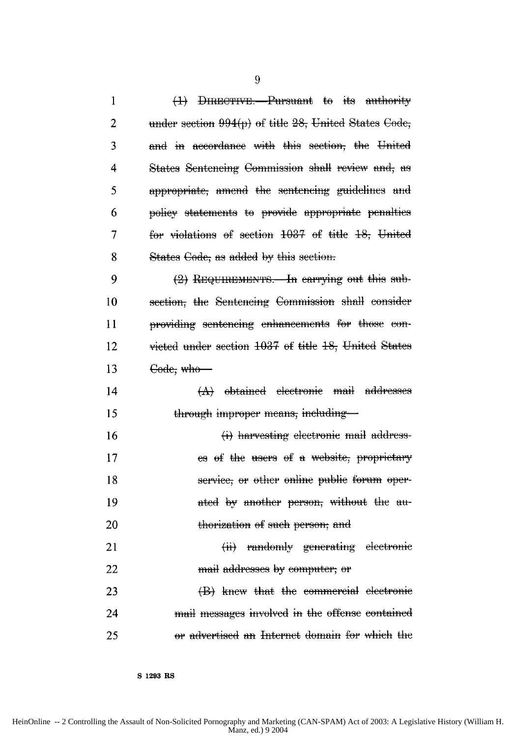| 1  | $(1)$ DIRECTIVE. Pursuant to its authority              |
|----|---------------------------------------------------------|
| 2  | under section $994(p)$ of title 28, United States Code, |
| 3  | and in accordance with this section, the United         |
| 4  | States Sentencing Commission shall review and, as       |
| 5  | appropriate, amend the sentencing guidelines and        |
| 6  | policy statements to provide appropriate penalties      |
| 7  | for violations of section 1037 of title 18, United      |
| 8  | States Code, as added by this section.                  |
| 9  | $(2)$ REQUIREMENTS. In carrying out this sub-           |
| 10 | section, the Sentencing Commission shall consider       |
| 11 | providing sentencing enhancements for those con-        |
| 12 | victed under section 1037 of title 18, United States    |
| 13 | <del>Code, who —</del>                                  |
| 14 | $(A)$ obtained electronic mail addresses                |
| 15 | through improper means, including—                      |
| 16 | (i) harvesting electronic mail address-                 |
| 17 | es of the users of a website, proprietary               |
| 18 | service, or other online public forum oper-             |
| 19 | ated by another person, without the au-                 |
| 20 | thorization of such person; and                         |
| 21 | randomly generating electronic<br>$\overline{t}$        |
| 22 | mail addresses by computer; or                          |
| 23 | (B) knew that the commercial electronic                 |
| 24 | mail messages involved in the offense contained         |
| 25 | or advertised an Internet domain for which the          |

9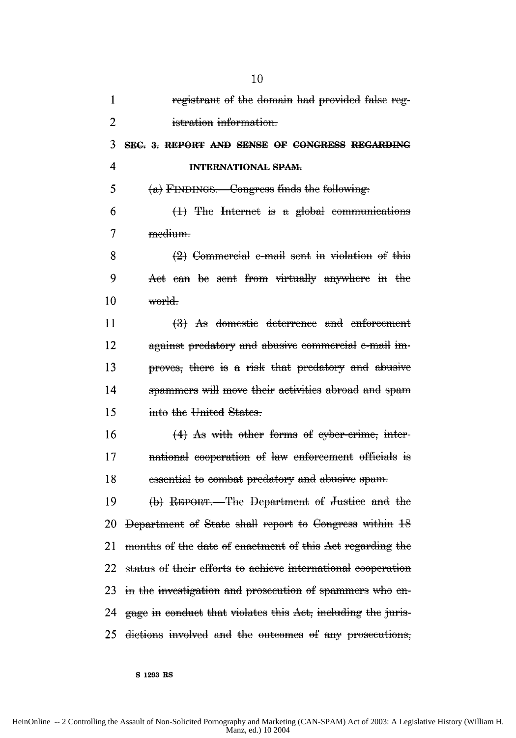| 1                       | registrant of the domain had provided false reg-             |
|-------------------------|--------------------------------------------------------------|
| 2                       | istration information.                                       |
| 3                       | SEC. 3. REPORT AND SENSE OF CONGRESS REGARDING               |
| $\overline{\mathbf{4}}$ | INTERNATIONAL SPAM.                                          |
| 5                       | $(a)$ FINDINGS. Congress finds the following.                |
| 6                       | $(1)$ The Internet is a global communications                |
| 7                       | medium.                                                      |
| 8                       | $(2)$ Commercial e-mail sent in violation of this            |
| 9                       | Act can be sent from virtually anywhere in the               |
| 10                      | world-                                                       |
| 11                      | (3) As domestic deterrence and enforcement                   |
| 12                      | against predatory and abusive commercial e-mail im-          |
| 13                      | proves, there is a risk that predatory and abusive           |
| 14                      | spammers will move their activities abroad and spam          |
| 15                      | into the United States.                                      |
| 16                      | $(4)$ As with other forms of eyber-erime, inter-             |
| 17                      | national cooperation of law enforcement officials is         |
| 18                      | essential to combat predatory and abusive spam.              |
| 19                      | (b) REPORT. The Department of Justice and the                |
| 20                      | Department of State shall report to Congress within 18       |
|                         | 21 months of the date of enactment of this Act regarding the |
| 22                      | status of their efforts to achieve international cooperation |
| 23                      | in the investigation and prosecution of spammers who en-     |
| 24                      | gage in conduct that violates this Act, including the juris- |
| 25                      | dictions involved and the outcomes of any prosecutions,      |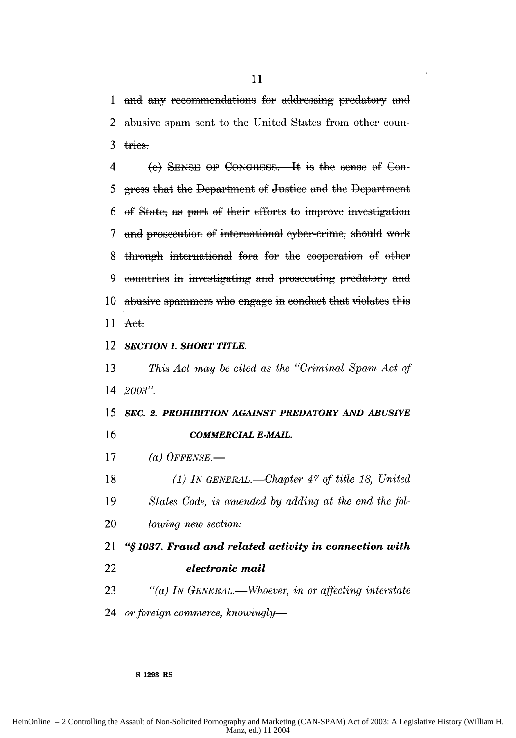1 and any recommendations for addressing predatory and 2 abusive spam sent to the United States from other countries. 3

11

 $\overline{\mathbf{4}}$ (e) SENSE OF CONGRESS. It is the sense of Con-5 gress that the Department of Justice and the Department 6 of State, as part of their efforts to improve investigation and prosecution of international cyber-crime, should work 7 through international fora for the cooperation of other 8 countries in investigating and prosecuting predatory and 9 10 abusive spammers who engage in conduct that violates this 11 Aet.

12 **SECTION 1. SHORT TITLE.** 

This Act may be cited as the "Criminal Spam Act of 13  $14\ \ 2003$ ".

15 SEC. 2. PROHIBITION AGAINST PREDATORY AND ABUSIVE 16 COMMERCIAL E-MAIL.

 $17$ (a) OFFENSE.

18  $(1)$  IN GENERAL.—Chapter 47 of title 18, United 19 States Code, is amended by adding at the end the fol-

20 lowing new section:

21 "§1037. Fraud and related activity in connection with 22 electronic mail "(a) IN GENERAL.—Whoever, in or affecting interstate 23

24 or foreign commerce, knowingly-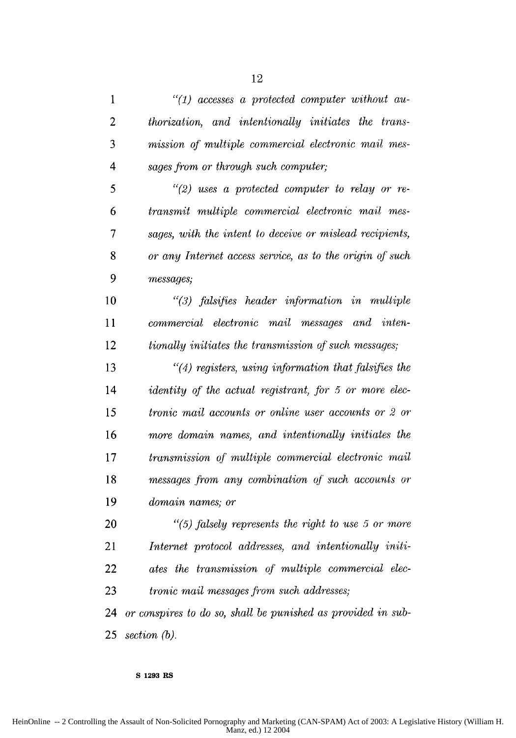*"(1) accesses a protected computer without au-thorization, and intentionally initiates the trans-mission of multiple commercial electronic mail mes-4 sages from or through such computer;*

*5 "(2) uses a protected computer to relay or re-6 transmit multiple commercial electronic mail mes-7 sages, with the intent to deceive or mislead recipients, 8 or any Internet access service, as to the origin of such messages;*

**10**  $(3)$  falsifies header information in multiple *commercial electronic mail messages and inten-tionally initiates the transmission qf such messages;*

"(4) *registers, using information that falsifies the identity of the actual registrant, for 5 or more elec-15 tronic mail accounts or online user accounts or 2 or more domain names, and intentionally initiates the transmission of multiple commercial electronic mail messages from any combination* of *such accounts or domain names; or*

*"(5) jalsely represents the right to use 5 or more Internet protocol addresses, and intentionally initi-ates the transmission of' multiple commercial elec-tronic mail messages from such addresses*;

*or conspires to do so, shall be punished as provided in sub-section (b).*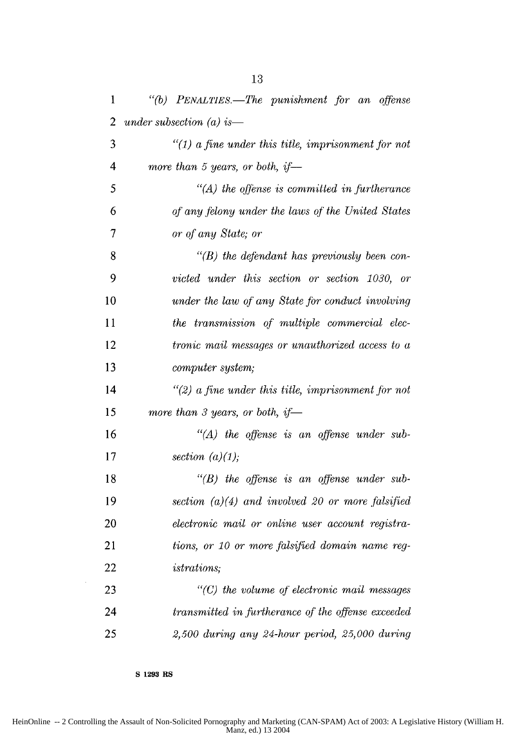| $\mathbf{1}$   | "(b) PENALTIES.—The punishment for an offense          |
|----------------|--------------------------------------------------------|
| $\overline{2}$ | under subsection (a) is—                               |
| 3              | $\lq(1)$ a fine under this title, imprisonment for not |
| 4              | more than 5 years, or both, if-                        |
| 5              | $\lq (A)$ the offense is committed in furtherance      |
| 6              | of any felony under the laws of the United States      |
| 7              | or of any State; or                                    |
| 8              | $H(B)$ the defendant has previously been con-          |
| 9              | victed under this section or section 1030, or          |
| 10             | under the law of any State for conduct involving       |
| 11             | the transmission of multiple commercial elec-          |
| 12             | tronic mail messages or unauthorized access to a       |
| 13             | computer system;                                       |
| 14             | $\lq(2)$ a fine under this title, imprisonment for not |
| 15             | more than 3 years, or both, if-                        |
| 16             | $"(A)$ the offense is an offense under sub-            |
| 17             | section $(a)(1);$                                      |
| 18             | $\lq\lq(B)$ the offense is an offense under sub-       |
| 19             | section $(a)(4)$ and involved 20 or more falsified     |
| 20             | electronic mail or online user account registra-       |
| 21             | tions, or 10 or more falsified domain name reg-        |
| 22             | <i>istrations</i> ;                                    |
| 23             | $"$ (C) the volume of electronic mail messages         |
| 24             | transmitted in furtherance of the offense exceeded     |
| 25             | $2,500$ during any 24-hour period, 25,000 during       |

 $\mathcal{L}_{\mathcal{A}}$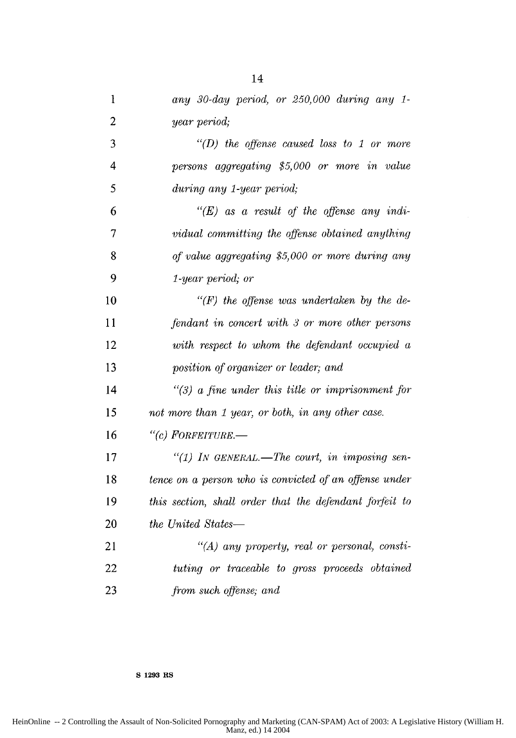| Ŧ              | any 30-day period, or 250,000 during any 1-             |
|----------------|---------------------------------------------------------|
| 2              | year period;                                            |
| 3              | $"(D)$ the offense caused loss to 1 or more             |
| $\overline{4}$ | persons aggregating \$5,000 or more in value            |
| 5              | during any 1-year period;                               |
| 6              | " $(E)$ as a result of the offense any indi-            |
| 7              | vidual committing the offense obtained anything         |
| 8              | of value aggregating \$5,000 or more during any         |
| 9              | 1-year period; or                                       |
| 10             | $H(F)$ the offense was undertaken by the de-            |
| 11             | fendant in concert with 3 or more other persons         |
| 12             | with respect to whom the defendant occupied a           |
| 13             | position of organizer or leader; and                    |
| 14             | $\lq(3)$ a fine under this title or imprisonment for    |
| 15             | not more than 1 year, or both, in any other case.       |
| 16             | "(c) FORFEITURE.-                                       |
| 17             | "(1) IN GENERAL.—The court, in imposing sen-            |
| 18             | tence on a person who is convicted of an offense under  |
| 19             | this section, shall order that the defendant forfeit to |
| 20             | the United States-                                      |
| 21             | $\lq (A)$ any property, real or personal, consti-       |
| 22             | tuting or traceable to gross proceeds obtained          |
| 23             | from such offense; and                                  |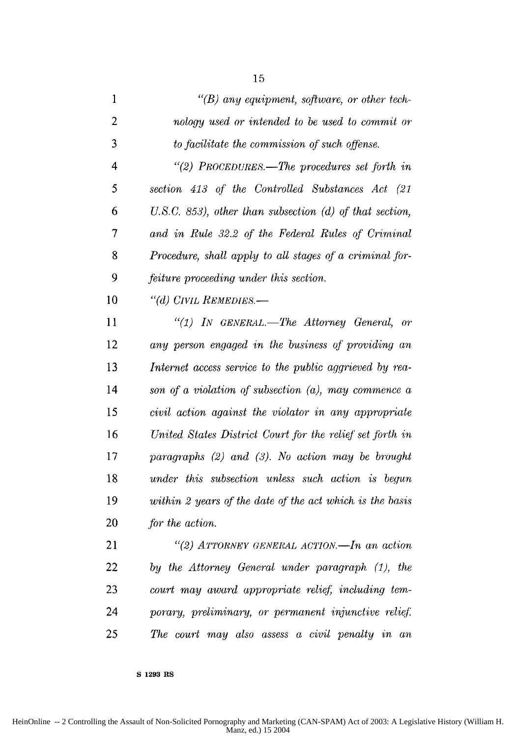| 1  | $\lq\lq(B)$ any equipment, software, or other tech-       |
|----|-----------------------------------------------------------|
| 2  | nology used or intended to be used to commit or           |
| 3  | to facilitate the commission of such offense.             |
| 4  | "(2) PROCEDURES.—The procedures set forth in              |
| 5  | section 413 of the Controlled Substances Act (21          |
| 6  | U.S.C. 853), other than subsection $(d)$ of that section, |
| 7  | and in Rule 32.2 of the Federal Rules of Criminal         |
| 8  | Procedure, shall apply to all stages of a criminal for-   |
| 9  | feiture proceeding under this section.                    |
| 10 | "(d) CIVIL REMEDIES.-                                     |
| 11 | $``(1)$ IN GENERAL.—The Attorney General, or              |
| 12 | any person engaged in the business of providing an        |
| 13 | Internet access service to the public aggrieved by rea-   |
| 14 | son of a violation of subsection $(a)$ , may commence a   |
| 15 | civil action against the violator in any appropriate      |
| 16 | United States District Court for the relief set forth in  |
| 17 | paragraphs $(2)$ and $(3)$ . No action may be brought     |
| 18 | under this subsection unless such action is begun         |
| 19 | within 2 years of the date of the act which is the basis  |
| 20 | for the action.                                           |
| 21 | "(2) ATTORNEY GENERAL ACTION.—In an action                |

*by the Attorney General under paragraph (1), the court may award appropriate relief including tern-porary, preliminary, or permanent injunctive relief The court may also assess a* civil *penalty* in *an*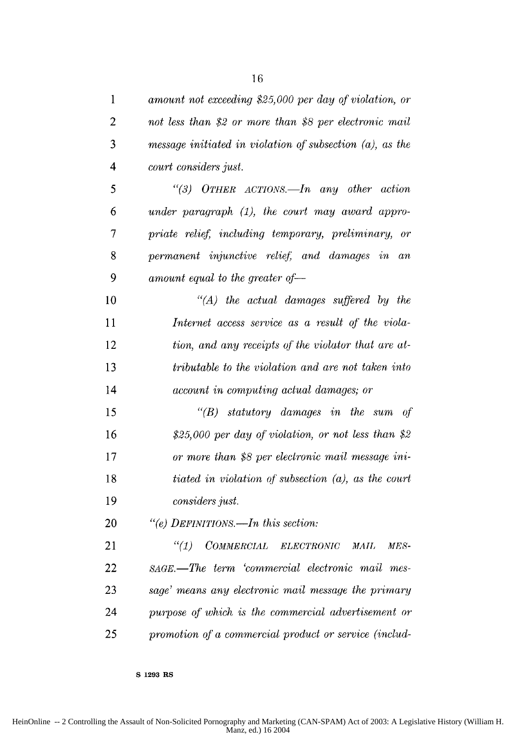| 1              | amount not exceeding \$25,000 per day of violation, or      |
|----------------|-------------------------------------------------------------|
| $\overline{2}$ | not less than \$2 or more than \$8 per electronic mail      |
| 3              | message initiated in violation of subsection $(a)$ , as the |
| 4              | court considers just.                                       |
| 5              | "(3) OTHER ACTIONS. In any other action                     |
| 6              | under paragraph $(1)$ , the court may award appro-          |
| 7              | priate relief, including temporary, preliminary, or         |
| 8              | permanent injunctive relief, and damages in an              |
| 9              | amount equal to the greater of $-$                          |
| 10             | $\lq (A)$ the actual damages suffered by the                |
| 11             | Internet access service as a result of the viola-           |
| 12             | tion, and any receipts of the violator that are at-         |
| 13             | tributable to the violation and are not taken into          |
| 14             | account in computing actual damages; or                     |
| 15             | "(B) statutory damages in the sum of                        |
| 16             | \$25,000 per day of violation, or not less than \$2         |
| 17             | or more than \$8 per electronic mail message ini-           |
| 18             | tiated in violation of subsection $(a)$ , as the court      |
| 19             | considers just.                                             |
| 20             | "(e) DEFINITIONS.—In this section:                          |
| 21             | "(1) COMMERCIAL ELECTRONIC<br>MAIL<br>MES-                  |
| 22             | SAGE.—The term 'commercial electronic mail mes-             |
| 23             | sage' means any electronic mail message the primary         |
| 24             | purpose of which is the commercial advertisement or         |
| 25             | promotion of a commercial product or service (includ-       |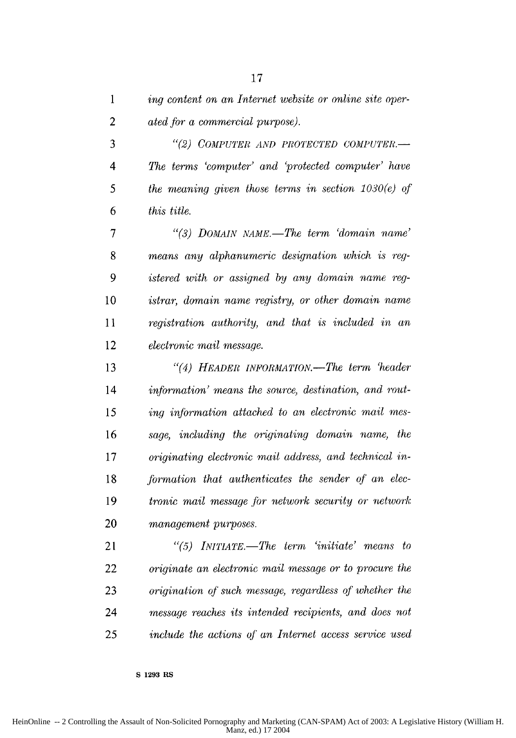*ing content on an Internet website or online site oper-ated jbr a commercial purpose).*

*"(2) COMPUTER AND PROTECTED COMPUTER.- The terms 'computer' and 'protected computer' have 5 the meaning given those terms in section 1030(e) of 6 this title.*

*"(3) DoMiAIN NAME.-The term 'domain name' means any alphanumeric designation which is reg-9 istered with or assigned by any domain name reg-istrar, domain name registry, or other domain name 11 registration authority, and that is included in an electronic mail message.*

*"(4) HEADER INFOAiATION.-The term 'header infofmation' means the source, destination, and rout-15 ing injbrmation attached to an electronic mail mes-sage, including the originating domain name, the originating electronic mail address, and technical in-formation that authenticates the sender of an elec-tronic mail message fbr network* security or *network management purposes.*

*"(5) INITIATE.-The term 'initiate' means to originate an electronic mail message or to procure the origination of such message, regardless of whether the message reaches its intended recipients, and does not include the actions of an Internet access service used*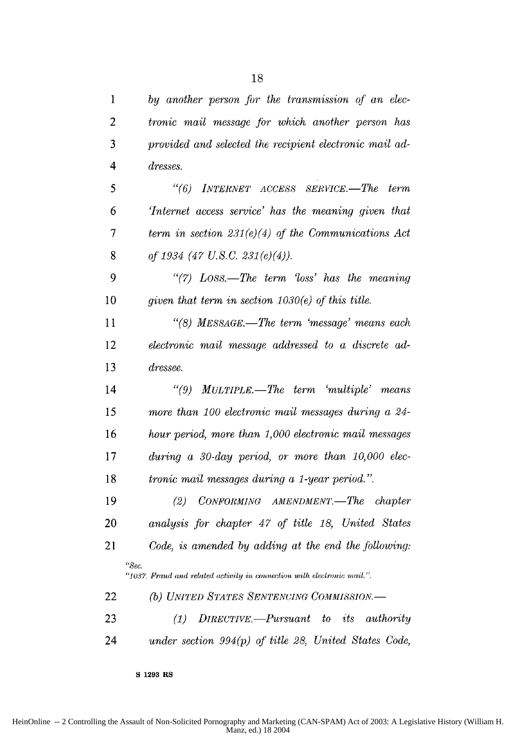| 1              | by another person for the transmission of an elec-                               |
|----------------|----------------------------------------------------------------------------------|
| $\overline{2}$ | tronic mail message for which another person has                                 |
| 3              | provided and selected the recipient electronic mail ad-                          |
| 4              | dresses.                                                                         |
| 5              | "(6) INTERNET ACCESS SERVICE.—The term                                           |
| 6              | Internet access service' has the meaning given that                              |
| 7              | term in section 231(e)(4) of the Communications Act                              |
| 8              | of 1934 (47 U.S.C. 231 $(e)(4)$ ).                                               |
| 9              | $\lq(7)$ LOSS.—The term 'loss' has the meaning                                   |
| 10             | given that term in section $1030(e)$ of this title.                              |
| 11             | "(8) MESSAGE.—The term 'message' means each                                      |
| 12             | electronic mail message addressed to a discrete ad-                              |
| 13             | dressee.                                                                         |
| 14             | $"(9)$ MULTIPLE.—The term 'multiple' means                                       |
| 15             | more than 100 electronic mail messages during a 24-                              |
| 16             | hour period, more than 1,000 electronic mail messages                            |
| 17             | during a 30-day period, or more than 10,000 elec-                                |
| 18             | <i>tronic mail messages during a 1-year period.</i> ".                           |
| 19             | CONFORMING AMENDMENT.—The chapter<br>(2)                                         |
| 20             | analysis for chapter 47 of title 18, United States                               |
| 21             | Code, is amended by adding at the end the following:                             |
|                | "Sec.<br>"1037. Fraud and related activity in connection with electronic mail.". |
| 22             | (b) UNITED STATES SENTENCING COMMISSION.-                                        |
| 23             | DIRECTIVE.-Pursuant to its<br>authority<br>(1)                                   |
| 24             | under section $994(p)$ of title 28, United States Code,                          |
|                |                                                                                  |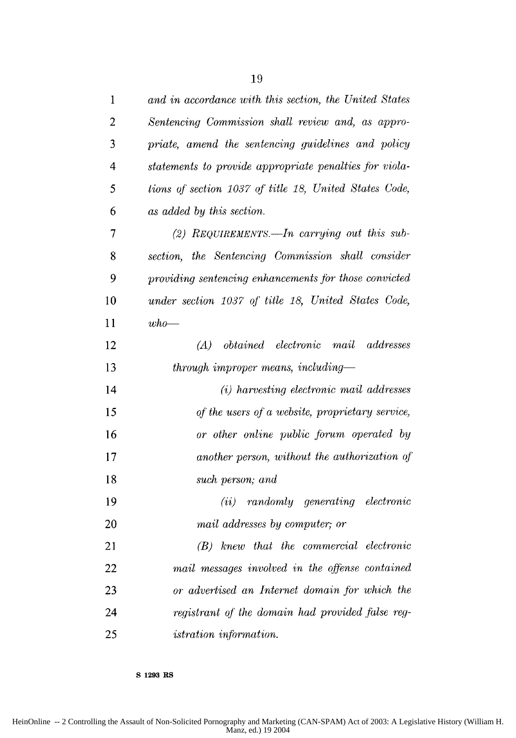| 1              | and in accordance with this section, the United States        |
|----------------|---------------------------------------------------------------|
| $\overline{2}$ | Sentencing Commission shall review and, as appro-             |
| 3              | priate, amend the sentencing guidelines and policy            |
| 4              | statements to provide appropriate penalties for viola-        |
| 5              | tions of section 1037 of title 18, United States Code,        |
| 6              | as added by this section.                                     |
| 7              | (2) REQUIREMENTS.—In carrying out this sub-                   |
| 8              | section, the Sentencing Commission shall consider             |
| 9              | providing sentencing enhancements for those convicted         |
| 10             | under section 1037 of title 18, United States Code,           |
| 11             | $who-$                                                        |
| 12             | $obtained \quad electronic \quad mail \quad addresses$<br>(A) |
| 13             | $through\ improper\ means, \ including-$                      |
| 14             | (i) harvesting electronic mail addresses                      |
| 15             | of the users of a website, proprietary service,               |
| 16             | or other online public forum operated by                      |
| 17             | another person, without the authorization of                  |
| 18             | such person; and                                              |
| 19             | randomly generating electronic<br>(ii)                        |
| 20             | mail addresses by computer; or                                |
| 21             | $(B)$ knew that the commercial electronic                     |
| 22             | mail messages involved in the offense contained               |
| 23             | or advertised an Internet domain for which the                |
| 24             | registrant of the domain had provided false reg-              |
| 25             | istration information.                                        |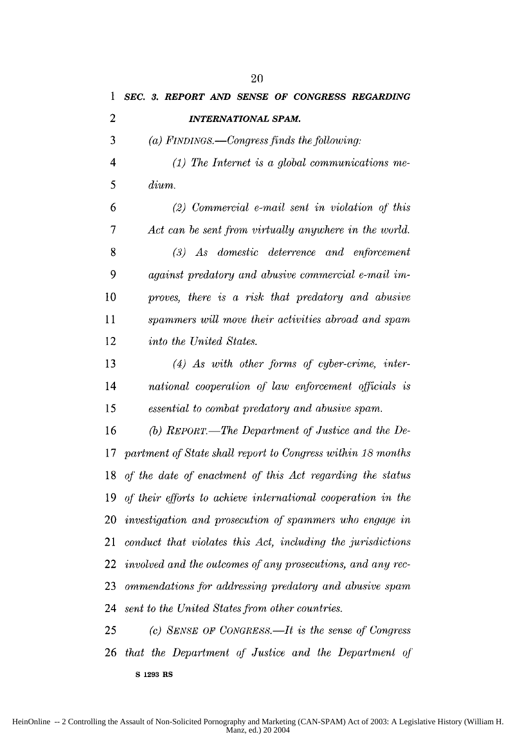*SEC. 3. REPORT AND SENSE OF CONGRESS REGARDING INTERNATIONAL SPAM. (a) FINDINGS.-Congress finds the following: (1) The Internet is a global communications me-5 dium. 6 (2) Commercial e-mail sent in violation of this 7 Act can be sent from virtually anywhere in the world.* **(3)** *As domestic deterrence and entfbrcement against predatory and abusive commercial e-mail im-proves, there is a risk that predatory and abusive spammers will move their activities abroad and spain into the United States.* 13 (4) As with other forms of cyber-crime, inter-*national cooperation of law enfbrcement qfficials is essential to combat predatory and abusive spar. (b) REPORT.—The Department of Justice and the De-partment of State shall report to Congress within 18 months of the date of enactment of this Act regarding the status* 19 of their efforts to achieve international cooperation in the *investigation and prosecution of spammers who engage in conduct that violates this Act, including the jurisdictions involved and the outcomes of any prosecutions, and any rec-ommendations for addressing predatory and abusive spam sent to the United States from other countries. (c) SENSE OF CONGRESS.—It is the sense of Congress that the Department of Justice and the Department of'*

**S 1293** RS

HeinOnline -- 2 Controlling the Assault of Non-Solicited Pornography and Marketing (CAN-SPAM) Act of 2003: A Legislative History (William H. Manz, ed.) 20 2004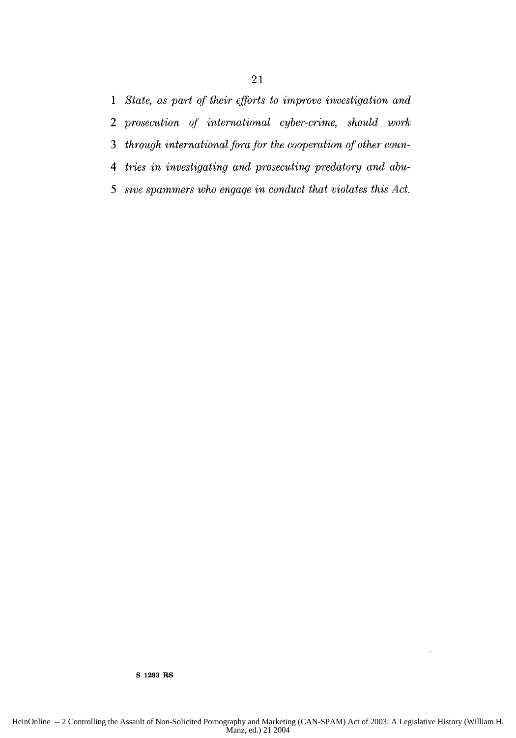*State, as part qf their efforts to improve investigation and prosecution of international cyber-crime, should work* 3 through international fora for the cooperation of other coun-*tries in investigating and prosecuting predatory and abu-sive spammers who engage in conduct that violates this Act.*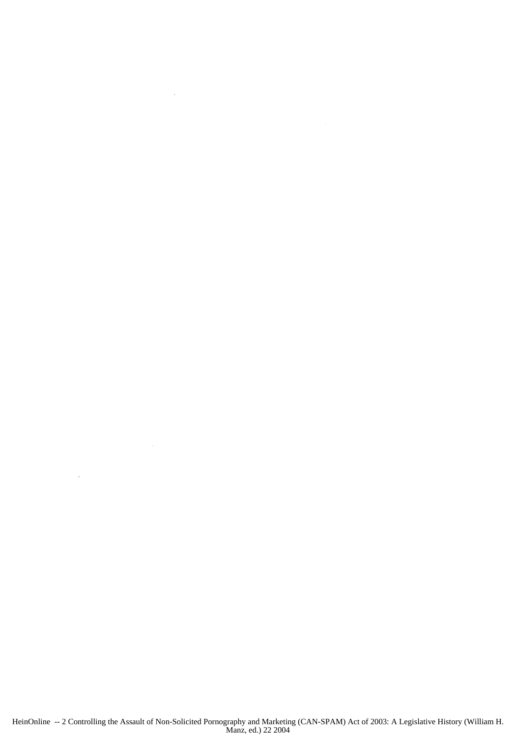HeinOnline -- 2 Controlling the Assault of Non-Solicited Pornography and Marketing (CAN-SPAM) Act of 2003: A Legislative History (William H. Manz, ed.) 22 2004

 $\mathcal{L}^{\mathcal{L}}$ 

 $\ddot{\phantom{a}}$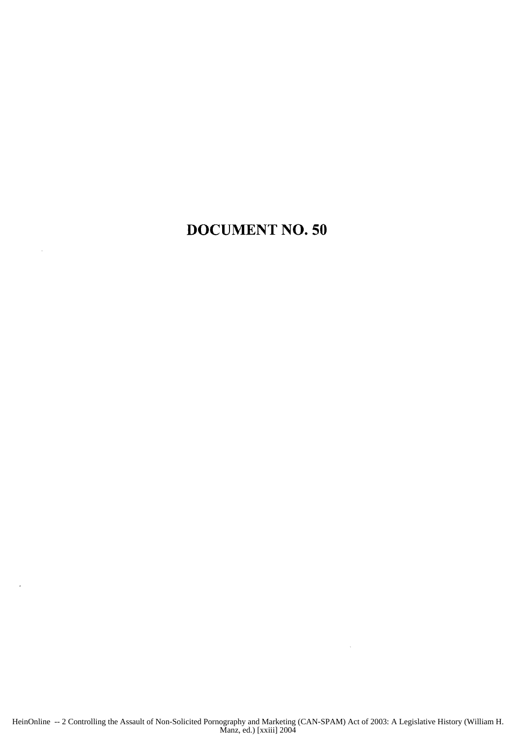### **DOCUMENT NO. 50**

 $\bar{\beta}$ 

 $\mathcal{L}$ 

HeinOnline -- 2 Controlling the Assault of Non-Solicited Pornography and Marketing (CAN-SPAM) Act of 2003: A Legislative History (William H. Manz, ed.) [xxiii] 2004

 $\bar{\beta}$